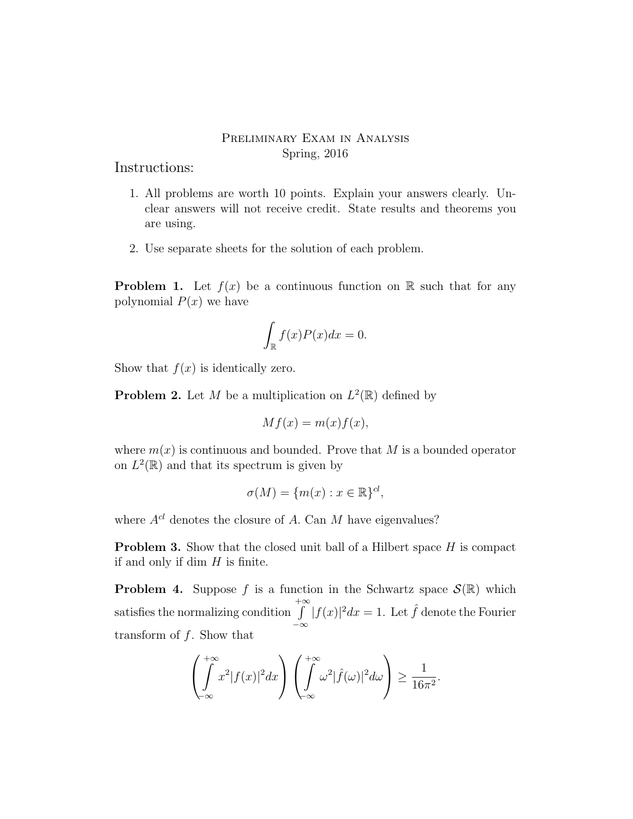## Preliminary Exam in Analysis Spring, 2016

Instructions:

- 1. All problems are worth 10 points. Explain your answers clearly. Unclear answers will not receive credit. State results and theorems you are using.
- 2. Use separate sheets for the solution of each problem.

**Problem 1.** Let  $f(x)$  be a continuous function on R such that for any polynomial  $P(x)$  we have

$$
\int_{\mathbb{R}} f(x)P(x)dx = 0.
$$

Show that  $f(x)$  is identically zero.

**Problem 2.** Let M be a multiplication on  $L^2(\mathbb{R})$  defined by

$$
Mf(x) = m(x)f(x),
$$

where  $m(x)$  is continuous and bounded. Prove that M is a bounded operator on  $L^2(\mathbb{R})$  and that its spectrum is given by

$$
\sigma(M) = \{m(x) : x \in \mathbb{R}\}^{cl},
$$

where  $A^{cl}$  denotes the closure of A. Can M have eigenvalues?

**Problem 3.** Show that the closed unit ball of a Hilbert space  $H$  is compact if and only if dim  $H$  is finite.

**Problem 4.** Suppose f is a function in the Schwartz space  $\mathcal{S}(\mathbb{R})$  which satisfies the normalizing condition  $+∞$ −∞  $|f(x)|^2 dx = 1$ . Let  $\hat{f}$  denote the Fourier transform of  $f$ . Show that

$$
\left(\int_{-\infty}^{+\infty} x^2 |f(x)|^2 dx\right) \left(\int_{-\infty}^{+\infty} \omega^2 |\hat{f}(\omega)|^2 d\omega\right) \ge \frac{1}{16\pi^2}.
$$